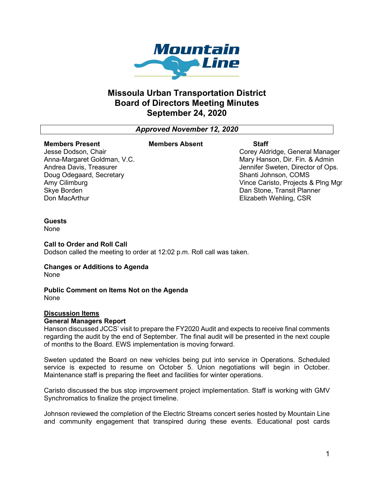

# **Missoula Urban Transportation District Board of Directors Meeting Minutes September 24, 2020**

*Approved November 12, 2020*

### **Members Present**

#### **Members Absent Staff**

Jesse Dodson, Chair Anna-Margaret Goldman, V.C. Andrea Davis, Treasurer Doug Odegaard, Secretary Amy Cilimburg Skye Borden Don MacArthur

Corey Aldridge, General Manager Mary Hanson, Dir. Fin. & Admin Jennifer Sweten, Director of Ops. Shanti Johnson, COMS Vince Caristo, Projects & Plng Mgr Dan Stone, Transit Planner Elizabeth Wehling, CSR

#### **Guests**

None

#### **Call to Order and Roll Call**

Dodson called the meeting to order at 12:02 p.m. Roll call was taken.

# **Changes or Additions to Agenda**

None

# **Public Comment on Items Not on the Agenda**

None

## **Discussion Items**

#### **General Managers Report**

Hanson discussed JCCS' visit to prepare the FY2020 Audit and expects to receive final comments regarding the audit by the end of September. The final audit will be presented in the next couple of months to the Board. EWS implementation is moving forward.

Sweten updated the Board on new vehicles being put into service in Operations. Scheduled service is expected to resume on October 5. Union negotiations will begin in October. Maintenance staff is preparing the fleet and facilities for winter operations.

Caristo discussed the bus stop improvement project implementation. Staff is working with GMV Synchromatics to finalize the project timeline.

Johnson reviewed the completion of the Electric Streams concert series hosted by Mountain Line and community engagement that transpired during these events. Educational post cards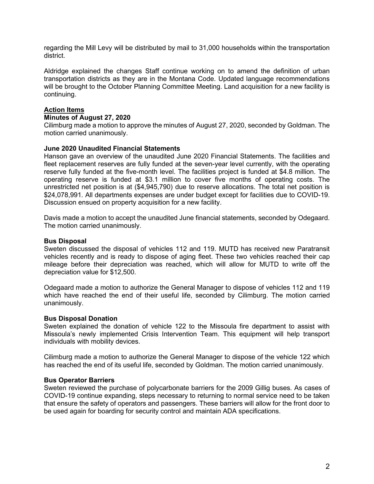regarding the Mill Levy will be distributed by mail to 31,000 households within the transportation district.

Aldridge explained the changes Staff continue working on to amend the definition of urban transportation districts as they are in the Montana Code. Updated language recommendations will be brought to the October Planning Committee Meeting. Land acquisition for a new facility is continuing.

## **Action Items**

#### **Minutes of August 27, 2020**

Cilimburg made a motion to approve the minutes of August 27, 2020, seconded by Goldman. The motion carried unanimously.

#### **June 2020 Unaudited Financial Statements**

Hanson gave an overview of the unaudited June 2020 Financial Statements. The facilities and fleet replacement reserves are fully funded at the seven-year level currently, with the operating reserve fully funded at the five-month level. The facilities project is funded at \$4.8 million. The operating reserve is funded at \$3.1 million to cover five months of operating costs. The unrestricted net position is at (\$4,945,790) due to reserve allocations. The total net position is \$24,078,991. All departments expenses are under budget except for facilities due to COVID-19. Discussion ensued on property acquisition for a new facility.

Davis made a motion to accept the unaudited June financial statements, seconded by Odegaard. The motion carried unanimously.

#### **Bus Disposal**

Sweten discussed the disposal of vehicles 112 and 119. MUTD has received new Paratransit vehicles recently and is ready to dispose of aging fleet. These two vehicles reached their cap mileage before their depreciation was reached, which will allow for MUTD to write off the depreciation value for \$12,500.

Odegaard made a motion to authorize the General Manager to dispose of vehicles 112 and 119 which have reached the end of their useful life, seconded by Cilimburg. The motion carried unanimously.

#### **Bus Disposal Donation**

Sweten explained the donation of vehicle 122 to the Missoula fire department to assist with Missoula's newly implemented Crisis Intervention Team. This equipment will help transport individuals with mobility devices.

Cilimburg made a motion to authorize the General Manager to dispose of the vehicle 122 which has reached the end of its useful life, seconded by Goldman. The motion carried unanimously.

#### **Bus Operator Barriers**

Sweten reviewed the purchase of polycarbonate barriers for the 2009 Gillig buses. As cases of COVID-19 continue expanding, steps necessary to returning to normal service need to be taken that ensure the safety of operators and passengers. These barriers will allow for the front door to be used again for boarding for security control and maintain ADA specifications.